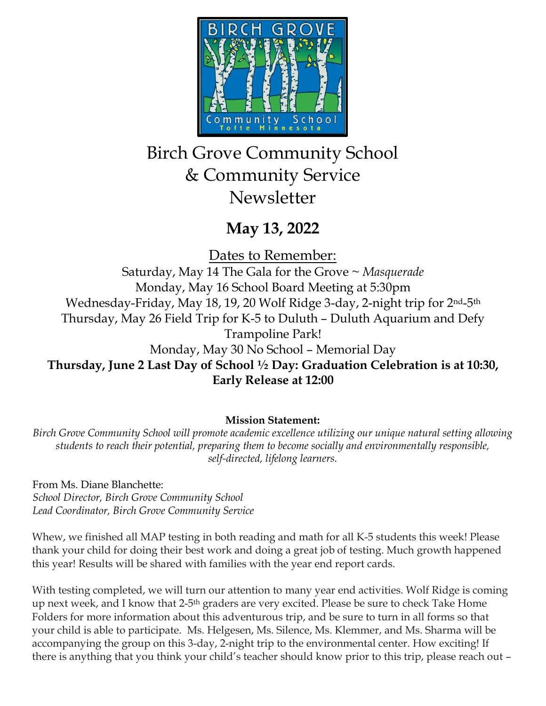

# Birch Grove Community School & Community Service **Newsletter**

## **May 13, 2022**

Dates to Remember:

Saturday, May 14 The Gala for the Grove ~ *Masquerade* Monday, May 16 School Board Meeting at 5:30pm Wednesday-Friday, May 18, 19, 20 Wolf Ridge 3-day, 2-night trip for 2<sup>nd</sup>-5<sup>th</sup> Thursday, May 26 Field Trip for K-5 to Duluth – Duluth Aquarium and Defy Trampoline Park! Monday, May 30 No School – Memorial Day **Thursday, June 2 Last Day of School ½ Day: Graduation Celebration is at 10:30, Early Release at 12:00**

## **Mission Statement:**

*Birch Grove Community School will promote academic excellence utilizing our unique natural setting allowing students to reach their potential, preparing them to become socially and environmentally responsible, self-directed, lifelong learners.*

From Ms. Diane Blanchette: *School Director, Birch Grove Community School Lead Coordinator, Birch Grove Community Service*

Whew, we finished all MAP testing in both reading and math for all K-5 students this week! Please thank your child for doing their best work and doing a great job of testing. Much growth happened this year! Results will be shared with families with the year end report cards.

With testing completed, we will turn our attention to many year end activities. Wolf Ridge is coming up next week, and I know that 2-5<sup>th</sup> graders are very excited. Please be sure to check Take Home Folders for more information about this adventurous trip, and be sure to turn in all forms so that your child is able to participate. Ms. Helgesen, Ms. Silence, Ms. Klemmer, and Ms. Sharma will be accompanying the group on this 3-day, 2-night trip to the environmental center. How exciting! If there is anything that you think your child's teacher should know prior to this trip, please reach out –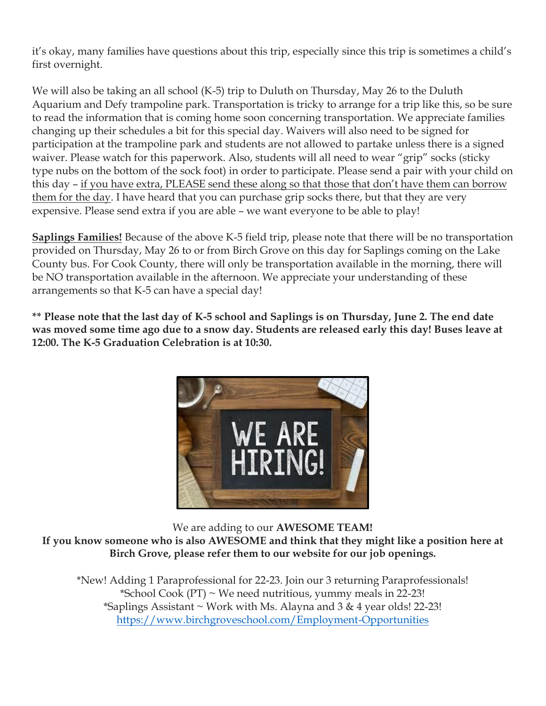it's okay, many families have questions about this trip, especially since this trip is sometimes a child's first overnight.

We will also be taking an all school (K-5) trip to Duluth on Thursday, May 26 to the Duluth Aquarium and Defy trampoline park. Transportation is tricky to arrange for a trip like this, so be sure to read the information that is coming home soon concerning transportation. We appreciate families changing up their schedules a bit for this special day. Waivers will also need to be signed for participation at the trampoline park and students are not allowed to partake unless there is a signed waiver. Please watch for this paperwork. Also, students will all need to wear "grip" socks (sticky type nubs on the bottom of the sock foot) in order to participate. Please send a pair with your child on this day – if you have extra, PLEASE send these along so that those that don't have them can borrow them for the day. I have heard that you can purchase grip socks there, but that they are very expensive. Please send extra if you are able – we want everyone to be able to play!

**Saplings Families!** Because of the above K-5 field trip, please note that there will be no transportation provided on Thursday, May 26 to or from Birch Grove on this day for Saplings coming on the Lake County bus. For Cook County, there will only be transportation available in the morning, there will be NO transportation available in the afternoon. We appreciate your understanding of these arrangements so that K-5 can have a special day!

**\*\* Please note that the last day of K-5 school and Saplings is on Thursday, June 2. The end date was moved some time ago due to a snow day. Students are released early this day! Buses leave at 12:00. The K-5 Graduation Celebration is at 10:30.**



We are adding to our **AWESOME TEAM! If you know someone who is also AWESOME and think that they might like a position here at Birch Grove, please refer them to our website for our job openings.**

\*New! Adding 1 Paraprofessional for 22-23. Join our 3 returning Paraprofessionals! \*School Cook  $(PT)$  ~ We need nutritious, yummy meals in 22-23! \*Saplings Assistant  $\sim$  Work with Ms. Alayna and 3 & 4 year olds! 22-23! <https://www.birchgroveschool.com/Employment-Opportunities>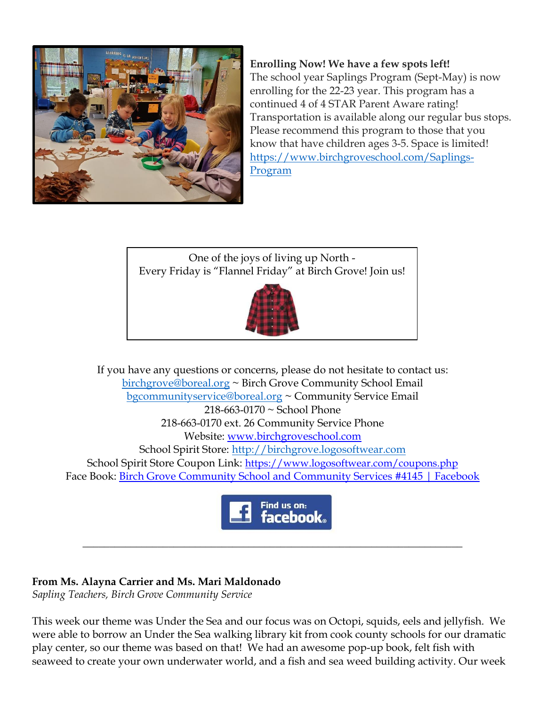

**Enrolling Now! We have a few spots left!** The school year Saplings Program (Sept-May) is now enrolling for the 22-23 year. This program has a continued 4 of 4 STAR Parent Aware rating! Transportation is available along our regular bus stops. Please recommend this program to those that you know that have children ages 3-5. Space is limited! [https://www.birchgroveschool.com/Saplings-](https://www.birchgroveschool.com/Saplings-Program)[Program](https://www.birchgroveschool.com/Saplings-Program)

One of the joys of living up North - Every Friday is "Flannel Friday" at Birch Grove! Join us!



If you have any questions or concerns, please do not hesitate to contact us: [birchgrove@boreal.org](mailto:birchgrove@boreal.org) ~ Birch Grove Community School Email [bgcommunityservice@boreal.org](mailto:bgcommunityservice@boreal.org) ~ Community Service Email 218-663-0170 ~ School Phone 218-663-0170 ext. 26 Community Service Phone Website: [www.birchgroveschool.com](http://www.birchgroveschool.com/) School Spirit Store: [http://birchgrove.logosoftwear.com](http://birchgrove.logosoftwear.com/) School Spirit Store Coupon Link: [https://www.logosoftwear.com/coupons.php](https://l.facebook.com/l.php?u=https%3A%2F%2Fwww.logosoftwear.com%2Fcoupons.php%3Ffbclid%3DIwAR2Xqd17qslymSELe8_VeVgOevR-QsZi3Qz3QuYTsWuNO2GLWjqyiQ62ICs&h=AT2z_Mc6YstEexFQ0i5rW-HO4fVUjQWMG_mHzx48fuw3yADOJuSHwXhN9MQfmKFDZxVhPbfBgLy6FDYrV0SZiN-UApxljZJM83a99ykkj6B8CMjcjkNw3W_Q7esHr8EHSDY6&__tn__=-UK-R&c%5b0%5d=AT3hJTZO-D9y88WW55bnY7TKagKxE33cxX646tzqglmwc95PJrJ3IYR9biVvFaLzk80QBN6o7R5n96uR3pNcGUR2nS6jY3yHy4SJEISdB3KoMVhV6OckeZsezEKQYZjMowKojD5TLi5DzP_AyBUXCERIZcNHwoDXS9DzEjlTMuD3pg) Face Book: [Birch Grove Community School and Community Services #4145 | Facebook](https://www.facebook.com/birchgrovecommunityschool/)



\_\_\_\_\_\_\_\_\_\_\_\_\_\_\_\_\_\_\_\_\_\_\_\_\_\_\_\_\_\_\_\_\_\_\_\_\_\_\_\_\_\_\_\_\_\_\_\_\_\_\_\_\_\_\_\_\_\_\_\_\_\_\_\_\_\_\_\_\_\_\_

### **From Ms. Alayna Carrier and Ms. Mari Maldonado**

*Sapling Teachers, Birch Grove Community Service* 

This week our theme was Under the Sea and our focus was on Octopi, squids, eels and jellyfish. We were able to borrow an Under the Sea walking library kit from cook county schools for our dramatic play center, so our theme was based on that! We had an awesome pop-up book, felt fish with seaweed to create your own underwater world, and a fish and sea weed building activity. Our week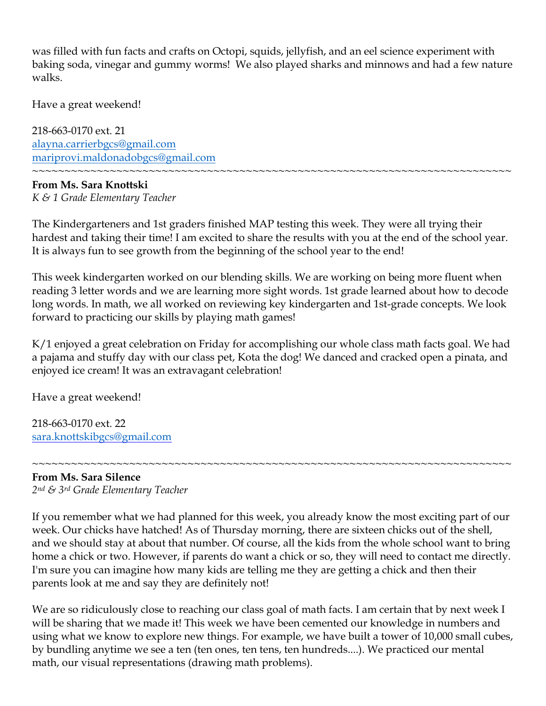was filled with fun facts and crafts on Octopi, squids, jellyfish, and an eel science experiment with baking soda, vinegar and gummy worms! We also played sharks and minnows and had a few nature walks.

Have a great weekend!

218-663-0170 ext. 21 [alayna.carrierbgcs@gmail.com](mailto:alayna.carrierbgcs@gmail.com) [mariprovi.maldonadobgcs@gmail.com](mailto:mariprovi.maldonadobgcs@gmail.com)

#### ~~~~~~~~~~~~~~~~~~~~~~~~~~~~~~~~~~~~~~~~~~~~~~~~~~~~~~~~~~~~~~~~~~~~~~~~~~ **From Ms. Sara Knottski** *K & 1 Grade Elementary Teacher*

The Kindergarteners and 1st graders finished MAP testing this week. They were all trying their hardest and taking their time! I am excited to share the results with you at the end of the school year. It is always fun to see growth from the beginning of the school year to the end!

This week kindergarten worked on our blending skills. We are working on being more fluent when reading 3 letter words and we are learning more sight words. 1st grade learned about how to decode long words. In math, we all worked on reviewing key kindergarten and 1st-grade concepts. We look forward to practicing our skills by playing math games!

K/1 enjoyed a great celebration on Friday for accomplishing our whole class math facts goal. We had a pajama and stuffy day with our class pet, Kota the dog! We danced and cracked open a pinata, and enjoyed ice cream! It was an extravagant celebration!

Have a great weekend!

218-663-0170 ext. 22 [sara.knottskibgcs@gmail.com](mailto:sara.knottskibgcs@gmail.com)

#### ~~~~~~~~~~~~~~~~~~~~~~~~~~~~~~~~~~~~~~~~~~~~~~~~~~~~~~~~~~~~~~~~~~~~~~~~~~ **From Ms. Sara Silence**

*2nd & 3rd Grade Elementary Teacher*

If you remember what we had planned for this week, you already know the most exciting part of our week. Our chicks have hatched! As of Thursday morning, there are sixteen chicks out of the shell, and we should stay at about that number. Of course, all the kids from the whole school want to bring home a chick or two. However, if parents do want a chick or so, they will need to contact me directly. I'm sure you can imagine how many kids are telling me they are getting a chick and then their parents look at me and say they are definitely not!

We are so ridiculously close to reaching our class goal of math facts. I am certain that by next week I will be sharing that we made it! This week we have been cemented our knowledge in numbers and using what we know to explore new things. For example, we have built a tower of 10,000 small cubes, by bundling anytime we see a ten (ten ones, ten tens, ten hundreds....). We practiced our mental math, our visual representations (drawing math problems).